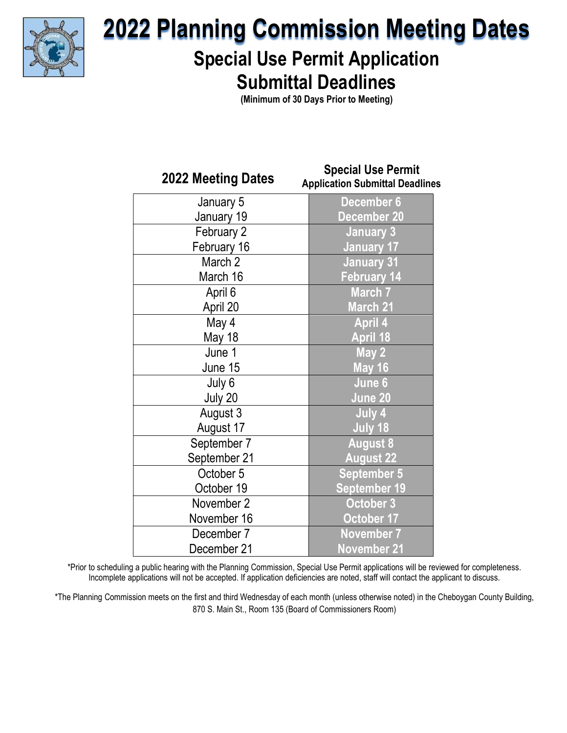

## 2022 Planning Commission Meeting Dates

### Special Use Permit Application Submittal Deadlines

(Minimum of 30 Days Prior to Meeting)

| 2022 Meeting Dates | <b>Special Use Permit</b><br><b>Application Submittal Deadlines</b> |
|--------------------|---------------------------------------------------------------------|
| January 5          | December 6                                                          |
| January 19         | <b>December 20</b>                                                  |
| February 2         | <b>January 3</b>                                                    |
| February 16        | <b>January 17</b>                                                   |
| March 2            | <b>January 31</b>                                                   |
| March 16           | <b>February 14</b>                                                  |
| April 6            | <b>March 7</b>                                                      |
| April 20           | March 21                                                            |
| May 4              | <b>April 4</b>                                                      |
| May 18             | <b>April 18</b>                                                     |
| June 1             | May 2                                                               |
| June 15            | <b>May 16</b>                                                       |
| July 6             | June 6                                                              |
| July 20            | June 20                                                             |
| August 3           | July 4                                                              |
| August 17          | July 18                                                             |
| September 7        | <b>August 8</b>                                                     |
| September 21       | <b>August 22</b>                                                    |
| October 5          | <b>September 5</b>                                                  |
| October 19         | <b>September 19</b>                                                 |
| November 2         | October 3                                                           |
| November 16        | October 17                                                          |
| December 7         | <b>November 7</b>                                                   |
| December 21        | <b>November 21</b>                                                  |

\*Prior to scheduling a public hearing with the Planning Commission, Special Use Permit applications will be reviewed for completeness. Incomplete applications will not be accepted. If application deficiencies are noted, staff will contact the applicant to discuss.

\*The Planning Commission meets on the first and third Wednesday of each month (unless otherwise noted) in the Cheboygan County Building, 870 S. Main St., Room 135 (Board of Commissioners Room)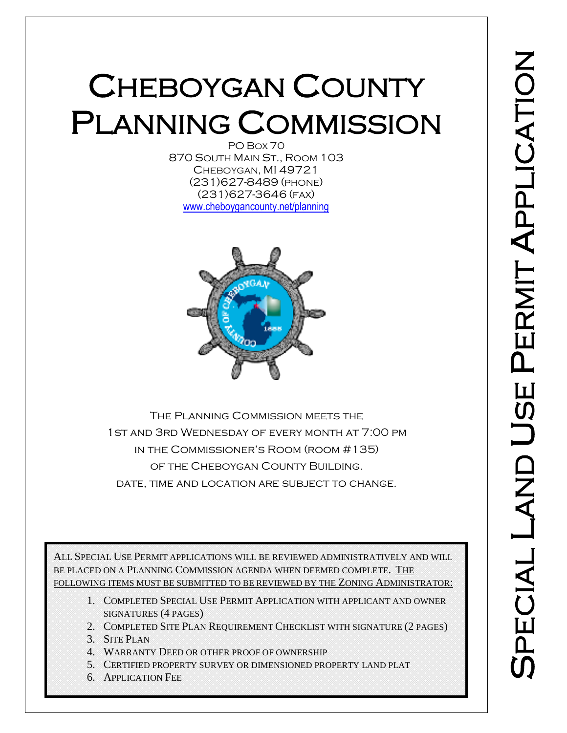# CHEBOYGAN COUNTY PLANNING COMMISSION

870 SOUTH MAIN ST., ROOM 103 CHEBOYGAN, MI 49721 (231)627-8489 (PHONE) (231)627-3646 (FAX) [www.cheboygancounty.net/planning](http://www.cheboygancounty.net/planning)



The Planning Commission meets the 1st and 3rd Wednesday of every month at 7:00 pm in the Commissioner's Room (room #135) of the Cheboygan County Building. date, time and location are subject to change.

ALL SPECIAL USE PERMIT APPLICATIONS WILL BE REVIEWED ADMINISTRATIVELY AND WILL BE PLACED ON A PLANNING COMMISSION AGENDA WHEN DEEMED COMPLETE. THE FOLLOWING ITEMS MUST BE SUBMITTED TO BE REVIEWED BY THE ZONING ADMINISTRATOR:

- 1. COMPLETED SPECIAL USE PERMIT APPLICATION WITH APPLICANT AND OWNER SIGNATURES (4 PAGES)
- 2. COMPLETED SITE PLAN REQUIREMENT CHECKLIST WITH SIGNATURE (2 PAGES)
- 3. SITE PLAN
- 4. WARRANTY DEED OR OTHER PROOF OF OWNERSHIP
- 5. CERTIFIED PROPERTY SURVEY OR DIMENSIONED PROPERTY LAND PLAT
- 6. APPLICATION FEE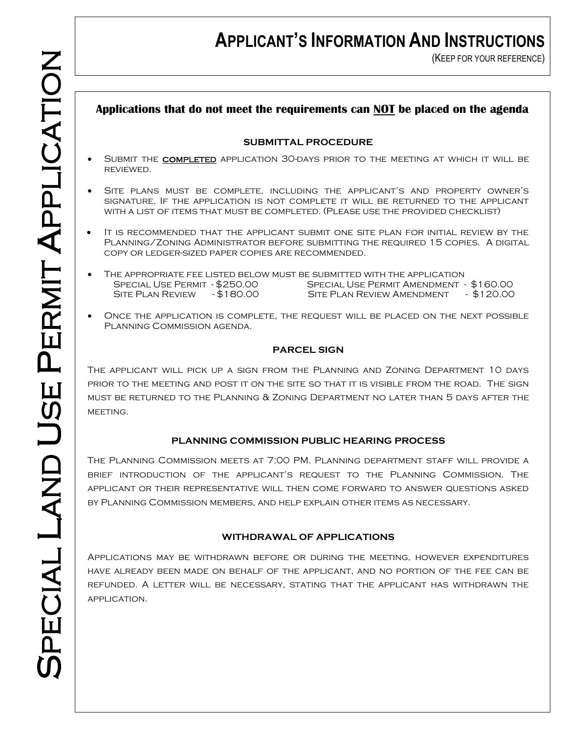### **APPLICANT'S INFORMATION AND INSTRUCTIONS**

(KEEP FOR YOUR REFERENCE)

#### **Applications that do not meet the requirements can NOT be placed on the agenda**

#### **SUBMITTAL PROCEDURE**

- SUBMIT THE COMPLETED APPLICATION 30-DAYS PRIOR TO THE MEETING AT WHICH IT WILL BE reviewed.
- Site plans must be complete, including the applicant's and property owner's signature. If the application is not complete it will be returned to the applicant with a list of items that must be completed. (Please use the provided checklist)
- It is recommended that the applicant submit one site plan for initial review by the Planning/Zoning Administrator before submitting the required 15 copies. A digital copy or ledger-sized paper copies are recommended.
- The appropriate fee listed below must be submitted with the application Special Use Permit - \$250.00 Special Use Permit Amendment - \$160.00 SITE PLAN REVIEW - \$180.00 SITE PLAN REVIEW AMENDMENT - \$120.00
- Once the application is complete, the request will be placed on the next possible Planning Commission agenda.

#### **PARCEL SIGN**

The applicant will pick up a sign from the Planning and Zoning Department 10 days prior to the meeting and post it on the site so that it is visible from the road. The sign must be returned to the Planning & Zoning Department no later than 5 days after the MEETING.

#### **PLANNING COMMISSION PUBLIC HEARING PROCESS**

The Planning Commission meets at 7:00 PM. Planning department staff will provide a brief introduction of the applicant's request to the Planning Commission. The applicant or their representative will then come forward to answer questions asked by Planning Commission members, and help explain other items as necessary.

#### **WITHDRAWAL OF APPLICATIONS**

Applications may be withdrawn before or during the meeting, however expenditures have already been made on behalf of the applicant, and no portion of the fee can be refunded. A letter will be necessary, stating that the applicant has withdrawn the application.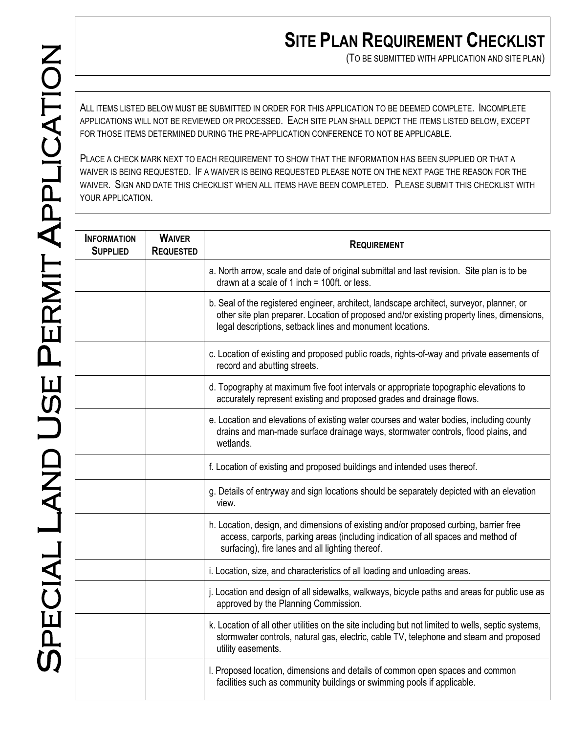### **SITE PLAN REQUIREMENT CHECKLIST**

(TO BE SUBMITTED WITH APPLICATION AND SITE PLAN)

ALL ITEMS LISTED BELOW MUST BE SUBMITTED IN ORDER FOR THIS APPLICATION TO BE DEEMED COMPLETE. INCOMPLETE APPLICATIONS WILL NOT BE REVIEWED OR PROCESSED. EACH SITE PLAN SHALL DEPICT THE ITEMS LISTED BELOW, EXCEPT FOR THOSE ITEMS DETERMINED DURING THE PRE-APPLICATION CONFERENCE TO NOT BE APPLICABLE.

PLACE A CHECK MARK NEXT TO EACH REQUIREMENT TO SHOW THAT THE INFORMATION HAS BEEN SUPPLIED OR THAT A WAIVER IS BEING REQUESTED. IF A WAIVER IS BEING REQUESTED PLEASE NOTE ON THE NEXT PAGE THE REASON FOR THE WAIVER. SIGN AND DATE THIS CHECKLIST WHEN ALL ITEMS HAVE BEEN COMPLETED. PLEASE SUBMIT THIS CHECKLIST WITH YOUR APPLICATION.

| <b>INFORMATION</b><br><b>SUPPLIED</b> | <b>WAIVER</b><br><b>REQUESTED</b> | <b>REQUIREMENT</b>                                                                                                                                                                                                                                   |  |
|---------------------------------------|-----------------------------------|------------------------------------------------------------------------------------------------------------------------------------------------------------------------------------------------------------------------------------------------------|--|
|                                       |                                   | a. North arrow, scale and date of original submittal and last revision. Site plan is to be<br>drawn at a scale of 1 inch = $100$ ft. or less.                                                                                                        |  |
|                                       |                                   | b. Seal of the registered engineer, architect, landscape architect, surveyor, planner, or<br>other site plan preparer. Location of proposed and/or existing property lines, dimensions,<br>legal descriptions, setback lines and monument locations. |  |
|                                       |                                   | c. Location of existing and proposed public roads, rights-of-way and private easements of<br>record and abutting streets.                                                                                                                            |  |
|                                       |                                   | d. Topography at maximum five foot intervals or appropriate topographic elevations to<br>accurately represent existing and proposed grades and drainage flows.                                                                                       |  |
|                                       |                                   | e. Location and elevations of existing water courses and water bodies, including county<br>drains and man-made surface drainage ways, stormwater controls, flood plains, and<br>wetlands.                                                            |  |
|                                       |                                   | f. Location of existing and proposed buildings and intended uses thereof.                                                                                                                                                                            |  |
|                                       |                                   | g. Details of entryway and sign locations should be separately depicted with an elevation<br>view.                                                                                                                                                   |  |
|                                       |                                   | h. Location, design, and dimensions of existing and/or proposed curbing, barrier free<br>access, carports, parking areas (including indication of all spaces and method of<br>surfacing), fire lanes and all lighting thereof.                       |  |
|                                       |                                   | i. Location, size, and characteristics of all loading and unloading areas.                                                                                                                                                                           |  |
|                                       |                                   | j. Location and design of all sidewalks, walkways, bicycle paths and areas for public use as<br>approved by the Planning Commission.                                                                                                                 |  |
|                                       |                                   | k. Location of all other utilities on the site including but not limited to wells, septic systems,<br>stormwater controls, natural gas, electric, cable TV, telephone and steam and proposed<br>utility easements.                                   |  |
|                                       |                                   | I. Proposed location, dimensions and details of common open spaces and common<br>facilities such as community buildings or swimming pools if applicable.                                                                                             |  |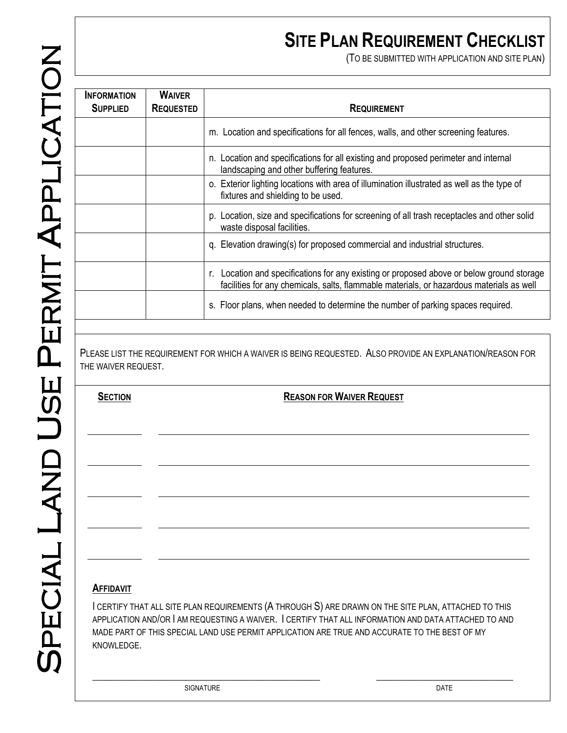(TO BE SUBMITTED WITH APPLICATION AND SITE PLAN)

| <b>INFORMATION</b><br><b>SUPPLIED</b> | <b>WAIVER</b><br><b>REQUESTED</b> | <b>REQUIREMENT</b>                                                                                                                                                                       |
|---------------------------------------|-----------------------------------|------------------------------------------------------------------------------------------------------------------------------------------------------------------------------------------|
|                                       |                                   | m. Location and specifications for all fences, walls, and other screening features.                                                                                                      |
|                                       |                                   | n. Location and specifications for all existing and proposed perimeter and internal<br>landscaping and other buffering features.                                                         |
|                                       |                                   | o. Exterior lighting locations with area of illumination illustrated as well as the type of<br>fixtures and shielding to be used.                                                        |
|                                       |                                   | p. Location, size and specifications for screening of all trash receptacles and other solid<br>waste disposal facilities.                                                                |
|                                       |                                   | q. Elevation drawing(s) for proposed commercial and industrial structures.                                                                                                               |
|                                       |                                   | Location and specifications for any existing or proposed above or below ground storage<br>r.<br>facilities for any chemicals, salts, flammable materials, or hazardous materials as well |
|                                       |                                   | s. Floor plans, when needed to determine the number of parking spaces required.                                                                                                          |

PLEASE LIST THE REQUIREMENT FOR WHICH A WAIVER IS BEING REQUESTED. ALSO PROVIDE AN EXPLANATION/REASON FOR THE WAIVER REQUEST.

**SECTION REASON FOR WAIVER REQUEST** 

#### **AFFIDAVIT**

I CERTIFY THAT ALL SITE PLAN REQUIREMENTS (A THROUGH S) ARE DRAWN ON THE SITE PLAN, ATTACHED TO THIS APPLICATION AND/OR I AM REQUESTING A WAIVER. I CERTIFY THAT ALL INFORMATION AND DATA ATTACHED TO AND MADE PART OF THIS SPECIAL LAND USE PERMIT APPLICATION ARE TRUE AND ACCURATE TO THE BEST OF MY KNOWLEDGE.

 $\_$  , and the set of the set of the set of the set of the set of the set of the set of the set of the set of the set of the set of the set of the set of the set of the set of the set of the set of the set of the set of th

SIGNATURE **DATE**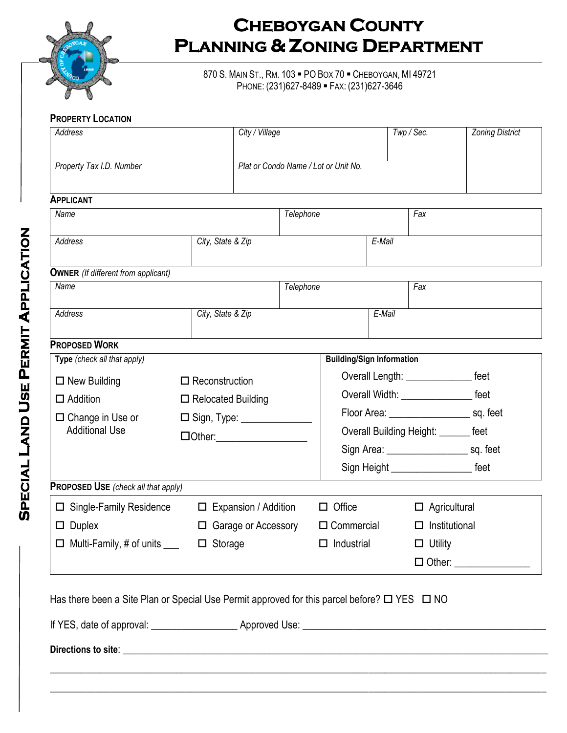

870 S. MAIN ST., RM. 103 . PO BOX 70 . CHEBOYGAN, MI 49721 PHONE: (231)627-8489 FAX: (231)627-3646

#### **PROPERTY LOCATION**

| Address                                                       |  | City / Village                       |                                           |                                             | Twp / Sec.                                     | <b>Zoning District</b>           |  |
|---------------------------------------------------------------|--|--------------------------------------|-------------------------------------------|---------------------------------------------|------------------------------------------------|----------------------------------|--|
| Property Tax I.D. Number                                      |  | Plat or Condo Name / Lot or Unit No. |                                           |                                             |                                                |                                  |  |
| <b>APPLICANT</b>                                              |  |                                      |                                           |                                             |                                                |                                  |  |
| Name                                                          |  |                                      | Telephone                                 |                                             | Fax                                            |                                  |  |
|                                                               |  |                                      |                                           |                                             |                                                |                                  |  |
| Address                                                       |  | City, State & Zip                    |                                           | E-Mail                                      |                                                |                                  |  |
| <b>OWNER</b> (If different from applicant)                    |  |                                      |                                           |                                             |                                                |                                  |  |
| Name                                                          |  |                                      | Telephone                                 | Fax                                         |                                                |                                  |  |
| Address                                                       |  | City, State & Zip                    |                                           | E-Mail                                      |                                                |                                  |  |
|                                                               |  |                                      |                                           |                                             |                                                |                                  |  |
| <b>PROPOSED WORK</b>                                          |  |                                      |                                           |                                             |                                                |                                  |  |
| Type (check all that apply)                                   |  |                                      |                                           | <b>Building/Sign Information</b>            |                                                |                                  |  |
| $\Box$ New Building                                           |  | $\Box$ Reconstruction                |                                           | Overall Length: ___________________ feet    |                                                |                                  |  |
| $\Box$ Addition                                               |  | $\Box$ Relocated Building            |                                           | Overall Width: _______________________ feet |                                                |                                  |  |
| $\square$ Change in Use or                                    |  | □ Sign, Type: ________________       |                                           |                                             |                                                |                                  |  |
| <b>Additional Use</b>                                         |  |                                      |                                           | Overall Building Height: _______ feet       |                                                |                                  |  |
|                                                               |  |                                      |                                           |                                             | Sign Area: __________________________ sq. feet |                                  |  |
|                                                               |  |                                      |                                           | Sign Height ________________________ feet   |                                                |                                  |  |
| PROPOSED USE (check all that apply)                           |  |                                      |                                           |                                             |                                                |                                  |  |
| $\Box$ Single-Family Residence<br>$\Box$ Expansion / Addition |  |                                      | $\Box$ Office                             |                                             |                                                | $\Box$ Agricultural              |  |
| $\Box$ Duplex<br>$\Box$ Garage or Accessory                   |  |                                      | $\Box$ Institutional<br>$\Box$ Commercial |                                             |                                                |                                  |  |
| $\Box$ Multi-Family, # of units $\Box$ $\Box$ Storage         |  |                                      | $\Box$ Industrial                         |                                             | $\Box$ Utility                                 |                                  |  |
|                                                               |  |                                      |                                           |                                             |                                                | $\Box$ Other: __________________ |  |

If YES, date of approval: \_\_\_\_\_\_\_\_\_\_\_\_\_\_\_\_\_ Approved Use: \_\_\_\_\_\_\_\_\_\_\_\_\_\_\_\_\_\_\_\_\_\_\_\_\_\_\_\_\_\_\_\_\_\_\_\_\_\_\_\_\_\_\_\_\_\_\_\_ **Directions to site**: \_\_\_\_\_\_\_\_\_\_\_\_\_\_\_\_\_\_\_\_\_\_\_\_\_\_\_\_\_\_\_\_\_\_\_\_\_\_\_\_\_\_\_\_\_\_\_\_\_\_\_\_\_\_\_\_\_\_\_\_\_\_\_\_\_\_\_\_\_\_\_\_\_\_\_\_\_\_\_\_\_\_\_\_  $\_$  , and the set of the set of the set of the set of the set of the set of the set of the set of the set of the set of the set of the set of the set of the set of the set of the set of the set of the set of the set of th

 $\_$  , and the set of the set of the set of the set of the set of the set of the set of the set of the set of the set of the set of the set of the set of the set of the set of the set of the set of the set of the set of th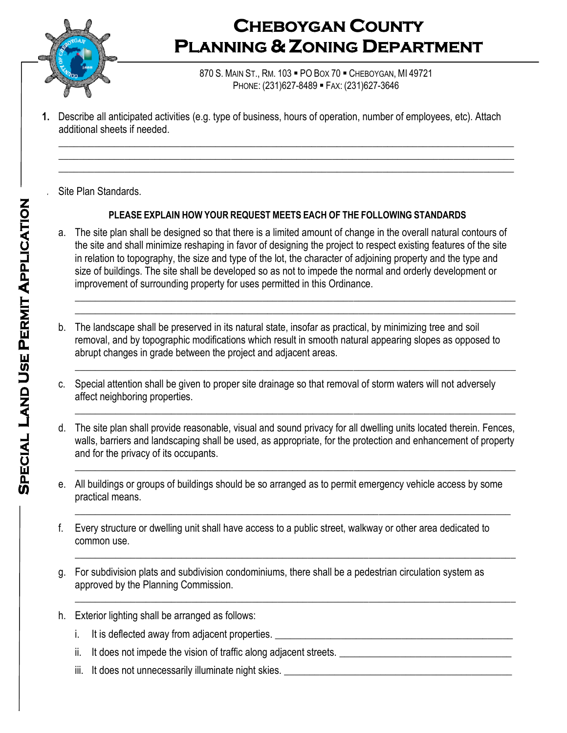

870 S. MAIN ST., RM. 103 . PO BOX 70 . CHEBOYGAN, MI 49721 PHONE: (231)627-8489 FAX: (231)627-3646

**1.** Describe all anticipated activities (e.g. type of business, hours of operation, number of employees, etc). Attach additional sheets if needed.

*2.* Site Plan Standards.

### **PLEASE EXPLAIN HOW YOUR REQUEST MEETS EACH OF THE FOLLOWING STANDARDS**

 $\_$  , and the set of the set of the set of the set of the set of the set of the set of the set of the set of the set of the set of the set of the set of the set of the set of the set of the set of the set of the set of th \_\_\_\_\_\_\_\_\_\_\_\_\_\_\_\_\_\_\_\_\_\_\_\_\_\_\_\_\_\_\_\_\_\_\_\_\_\_\_\_\_\_\_\_\_\_\_\_\_\_\_\_\_\_\_\_\_\_\_\_\_\_\_\_\_\_\_\_\_\_\_\_\_\_\_\_\_\_\_\_\_\_\_\_\_\_\_\_\_\_ \_\_\_\_\_\_\_\_\_\_\_\_\_\_\_\_\_\_\_\_\_\_\_\_\_\_\_\_\_\_\_\_\_\_\_\_\_\_\_\_\_\_\_\_\_\_\_\_\_\_\_\_\_\_\_\_\_\_\_\_\_\_\_\_\_\_\_\_\_\_\_\_\_\_\_\_\_\_\_\_\_\_\_\_\_\_\_\_\_\_

a. The site plan shall be designed so that there is a limited amount of change in the overall natural contours of the site and shall minimize reshaping in favor of designing the project to respect existing features of the site in relation to topography, the size and type of the lot, the character of adjoining property and the type and size of buildings. The site shall be developed so as not to impede the normal and orderly development or improvement of surrounding property for uses permitted in this Ordinance.

\_\_\_\_\_\_\_\_\_\_\_\_\_\_\_\_\_\_\_\_\_\_\_\_\_\_\_\_\_\_\_\_\_\_\_\_\_\_\_\_\_\_\_\_\_\_\_\_\_\_\_\_\_\_\_\_\_\_\_\_\_\_\_\_\_\_\_\_\_\_\_\_\_\_\_\_\_\_\_\_\_\_\_\_\_\_\_ \_\_\_\_\_\_\_\_\_\_\_\_\_\_\_\_\_\_\_\_\_\_\_\_\_\_\_\_\_\_\_\_\_\_\_\_\_\_\_\_\_\_\_\_\_\_\_\_\_\_\_\_\_\_\_\_\_\_\_\_\_\_\_\_\_\_\_\_\_\_\_\_\_\_\_\_\_\_\_\_\_\_\_\_\_\_\_

\_\_\_\_\_\_\_\_\_\_\_\_\_\_\_\_\_\_\_\_\_\_\_\_\_\_\_\_\_\_\_\_\_\_\_\_\_\_\_\_\_\_\_\_\_\_\_\_\_\_\_\_\_\_\_\_\_\_\_\_\_\_\_\_\_\_\_\_\_\_\_\_\_\_\_\_\_\_\_\_\_\_\_\_\_\_\_

 $\_$  , and the set of the set of the set of the set of the set of the set of the set of the set of the set of the set of the set of the set of the set of the set of the set of the set of the set of the set of the set of th

- b. The landscape shall be preserved in its natural state, insofar as practical, by minimizing tree and soil removal, and by topographic modifications which result in smooth natural appearing slopes as opposed to abrupt changes in grade between the project and adjacent areas.
- c. Special attention shall be given to proper site drainage so that removal of storm waters will not adversely affect neighboring properties.
- d. The site plan shall provide reasonable, visual and sound privacy for all dwelling units located therein. Fences, walls, barriers and landscaping shall be used, as appropriate, for the protection and enhancement of property and for the privacy of its occupants. \_\_\_\_\_\_\_\_\_\_\_\_\_\_\_\_\_\_\_\_\_\_\_\_\_\_\_\_\_\_\_\_\_\_\_\_\_\_\_\_\_\_\_\_\_\_\_\_\_\_\_\_\_\_\_\_\_\_\_\_\_\_\_\_\_\_\_\_\_\_\_\_\_\_\_\_\_\_\_\_\_\_\_\_\_\_\_
- e. All buildings or groups of buildings should be so arranged as to permit emergency vehicle access by some practical means.

 $\_$  , and the set of the set of the set of the set of the set of the set of the set of the set of the set of the set of the set of the set of the set of the set of the set of the set of the set of the set of the set of th

- f. Every structure or dwelling unit shall have access to a public street, walkway or other area dedicated to common use. \_\_\_\_\_\_\_\_\_\_\_\_\_\_\_\_\_\_\_\_\_\_\_\_\_\_\_\_\_\_\_\_\_\_\_\_\_\_\_\_\_\_\_\_\_\_\_\_\_\_\_\_\_\_\_\_\_\_\_\_\_\_\_\_\_\_\_\_\_\_\_\_\_\_\_\_\_\_\_\_\_\_\_\_\_\_\_
- g. For subdivision plats and subdivision condominiums, there shall be a pedestrian circulation system as approved by the Planning Commission. \_\_\_\_\_\_\_\_\_\_\_\_\_\_\_\_\_\_\_\_\_\_\_\_\_\_\_\_\_\_\_\_\_\_\_\_\_\_\_\_\_\_\_\_\_\_\_\_\_\_\_\_\_\_\_\_\_\_\_\_\_\_\_\_\_\_\_\_\_\_\_\_\_\_\_\_\_\_\_\_\_\_\_\_\_\_\_
- h. Exterior lighting shall be arranged as follows:
	- i. It is deflected away from adjacent properties. \_\_\_\_\_\_\_\_\_\_\_\_\_\_\_\_\_\_\_\_\_\_\_\_\_\_\_\_\_\_\_\_\_\_\_\_\_\_\_\_\_\_\_\_\_\_\_
	- ii. It does not impede the vision of traffic along adjacent streets.
	- iii. It does not unnecessarily illuminate night skies. \_\_\_\_\_\_\_\_\_\_\_\_\_\_\_\_\_\_\_\_\_\_\_\_\_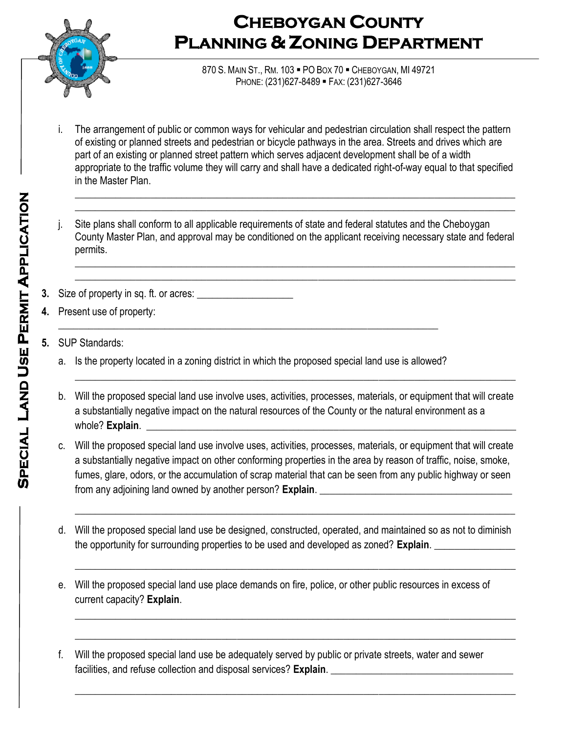

870 S. MAIN ST., RM. 103 . PO BOX 70 . CHEBOYGAN, MI 49721 PHONE: (231)627-8489 FAX: (231)627-3646

i. The arrangement of public or common ways for vehicular and pedestrian circulation shall respect the pattern of existing or planned streets and pedestrian or bicycle pathways in the area. Streets and drives which are part of an existing or planned street pattern which serves adjacent development shall be of a width appropriate to the traffic volume they will carry and shall have a dedicated right-of-way equal to that specified in the Master Plan.

\_\_\_\_\_\_\_\_\_\_\_\_\_\_\_\_\_\_\_\_\_\_\_\_\_\_\_\_\_\_\_\_\_\_\_\_\_\_\_\_\_\_\_\_\_\_\_\_\_\_\_\_\_\_\_\_\_\_\_\_\_\_\_\_\_\_\_\_\_\_\_\_\_\_\_\_\_\_\_\_\_\_\_\_\_\_\_ \_\_\_\_\_\_\_\_\_\_\_\_\_\_\_\_\_\_\_\_\_\_\_\_\_\_\_\_\_\_\_\_\_\_\_\_\_\_\_\_\_\_\_\_\_\_\_\_\_\_\_\_\_\_\_\_\_\_\_\_\_\_\_\_\_\_\_\_\_\_\_\_\_\_\_\_\_\_\_\_\_\_\_\_\_\_\_

j. Site plans shall conform to all applicable requirements of state and federal statutes and the Cheboygan County Master Plan, and approval may be conditioned on the applicant receiving necessary state and federal permits.

\_\_\_\_\_\_\_\_\_\_\_\_\_\_\_\_\_\_\_\_\_\_\_\_\_\_\_\_\_\_\_\_\_\_\_\_\_\_\_\_\_\_\_\_\_\_\_\_\_\_\_\_\_\_\_\_\_\_\_\_\_\_\_\_\_\_\_\_\_\_\_\_\_\_\_\_\_\_\_\_\_\_\_\_\_\_\_ \_\_\_\_\_\_\_\_\_\_\_\_\_\_\_\_\_\_\_\_\_\_\_\_\_\_\_\_\_\_\_\_\_\_\_\_\_\_\_\_\_\_\_\_\_\_\_\_\_\_\_\_\_\_\_\_\_\_\_\_\_\_\_\_\_\_\_\_\_\_\_\_\_\_\_\_\_\_\_\_\_\_\_\_\_\_\_

- **3.** Size of property in sq. ft. or acres: \_\_\_\_\_\_\_\_\_\_\_\_\_\_\_\_\_\_\_
- **4.** Present use of property:
- **5.** SUP Standards:
	- a. Is the property located in a zoning district in which the proposed special land use is allowed?

\_\_\_\_\_\_\_\_\_\_\_\_\_\_\_\_\_\_\_\_\_\_\_\_\_\_\_\_\_\_\_\_\_\_\_\_\_\_\_\_\_\_\_\_\_\_\_\_\_\_\_\_\_\_\_\_\_\_\_\_\_\_\_\_\_\_\_\_\_\_\_\_\_\_\_

b. Will the proposed special land use involve uses, activities, processes, materials, or equipment that will create a substantially negative impact on the natural resources of the County or the natural environment as a whole? Explain.

 $\_$  , and the set of the set of the set of the set of the set of the set of the set of the set of the set of the set of the set of the set of the set of the set of the set of the set of the set of the set of the set of th

- c. Will the proposed special land use involve uses, activities, processes, materials, or equipment that will create a substantially negative impact on other conforming properties in the area by reason of traffic, noise, smoke, fumes, glare, odors, or the accumulation of scrap material that can be seen from any public highway or seen from any adjoining land owned by another person? **Explain**.
- d. Will the proposed special land use be designed, constructed, operated, and maintained so as not to diminish the opportunity for surrounding properties to be used and developed as zoned? **Explain**. \_\_\_\_\_\_\_\_\_\_\_\_\_\_\_\_

 $\overline{\phantom{a}}$  ,  $\overline{\phantom{a}}$  ,  $\overline{\phantom{a}}$  ,  $\overline{\phantom{a}}$  ,  $\overline{\phantom{a}}$  ,  $\overline{\phantom{a}}$  ,  $\overline{\phantom{a}}$  ,  $\overline{\phantom{a}}$  ,  $\overline{\phantom{a}}$  ,  $\overline{\phantom{a}}$  ,  $\overline{\phantom{a}}$  ,  $\overline{\phantom{a}}$  ,  $\overline{\phantom{a}}$  ,  $\overline{\phantom{a}}$  ,  $\overline{\phantom{a}}$  ,  $\overline{\phantom{a}}$ 

\_\_\_\_\_\_\_\_\_\_\_\_\_\_\_\_\_\_\_\_\_\_\_\_\_\_\_\_\_\_\_\_\_\_\_\_\_\_\_\_\_\_\_\_\_\_\_\_\_\_\_\_\_\_\_\_\_\_\_\_\_\_\_\_\_\_\_\_\_\_\_\_\_\_\_\_\_\_\_\_\_\_\_\_\_\_\_

\_\_\_\_\_\_\_\_\_\_\_\_\_\_\_\_\_\_\_\_\_\_\_\_\_\_\_\_\_\_\_\_\_\_\_\_\_\_\_\_\_\_\_\_\_\_\_\_\_\_\_\_\_\_\_\_\_\_\_\_\_\_\_\_\_\_\_\_\_\_\_\_\_\_\_\_\_\_\_\_\_\_\_\_\_\_\_

 $\overline{\phantom{a}}$  ,  $\overline{\phantom{a}}$  ,  $\overline{\phantom{a}}$  ,  $\overline{\phantom{a}}$  ,  $\overline{\phantom{a}}$  ,  $\overline{\phantom{a}}$  ,  $\overline{\phantom{a}}$  ,  $\overline{\phantom{a}}$  ,  $\overline{\phantom{a}}$  ,  $\overline{\phantom{a}}$  ,  $\overline{\phantom{a}}$  ,  $\overline{\phantom{a}}$  ,  $\overline{\phantom{a}}$  ,  $\overline{\phantom{a}}$  ,  $\overline{\phantom{a}}$  ,  $\overline{\phantom{a}}$ 

 $\overline{\phantom{a}}$  ,  $\overline{\phantom{a}}$  ,  $\overline{\phantom{a}}$  ,  $\overline{\phantom{a}}$  ,  $\overline{\phantom{a}}$  ,  $\overline{\phantom{a}}$  ,  $\overline{\phantom{a}}$  ,  $\overline{\phantom{a}}$  ,  $\overline{\phantom{a}}$  ,  $\overline{\phantom{a}}$  ,  $\overline{\phantom{a}}$  ,  $\overline{\phantom{a}}$  ,  $\overline{\phantom{a}}$  ,  $\overline{\phantom{a}}$  ,  $\overline{\phantom{a}}$  ,  $\overline{\phantom{a}}$ 

- e. Will the proposed special land use place demands on fire, police, or other public resources in excess of current capacity? **Explain**.
- f. Will the proposed special land use be adequately served by public or private streets, water and sewer facilities, and refuse collection and disposal services? **Explain**.